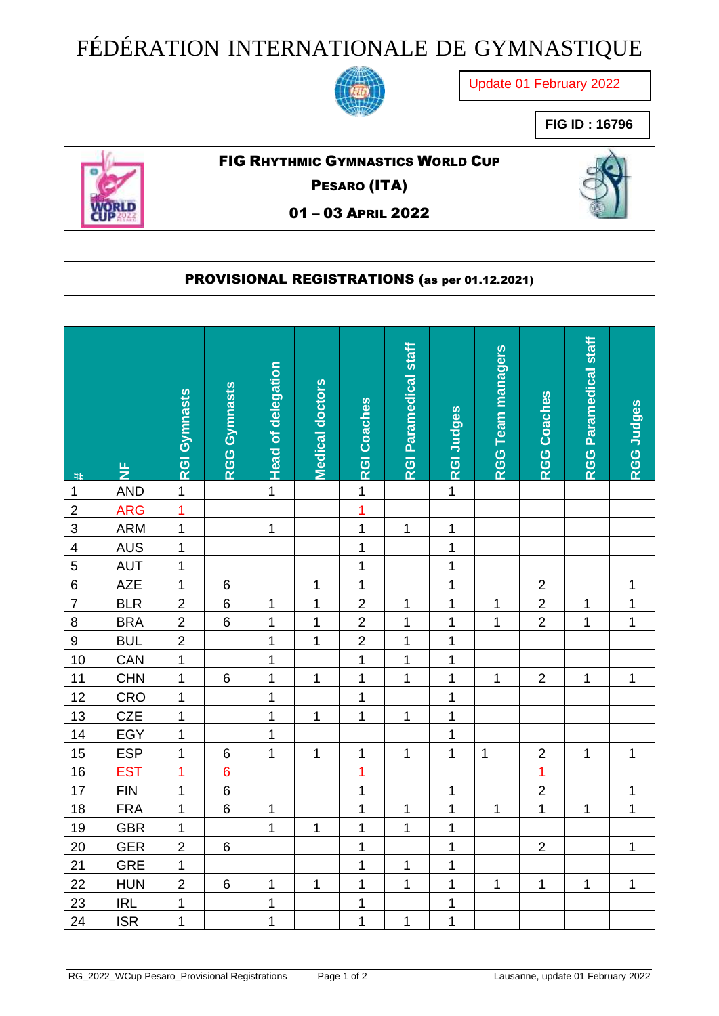## FÉDÉRATION INTERNATIONALE DE GYMNASTIQUE



Update 01 February 2022

**FIG ID : 16796**



## FIG RHYTHMIC GYMNASTICS WORLD CUP

PESARO (ITA)

01 – 03 APRIL 2022



## PROVISIONAL REGISTRATIONS (as per 01.12.2021)

| #                       | 눈          | <b>RGI Gymnasts</b> | <b>RGG Gymnasts</b> | <b>Head of delegation</b> | <b>Medical doctors</b> | <b>RGI Coaches</b> | <b>RGI Paramedical staff</b> | <b>RGI Judges</b> | <b>RGG Team managers</b> | <b>RGG Coaches</b> | RGG Paramedical staff | <b>RGG Judges</b> |
|-------------------------|------------|---------------------|---------------------|---------------------------|------------------------|--------------------|------------------------------|-------------------|--------------------------|--------------------|-----------------------|-------------------|
| $\mathbf 1$             | <b>AND</b> | $\mathbf 1$         |                     | $\overline{1}$            |                        | $\mathbf 1$        |                              | $\mathbf 1$       |                          |                    |                       |                   |
| $\mathbf 2$             | <b>ARG</b> | $\overline{1}$      |                     |                           |                        | $\overline{1}$     |                              |                   |                          |                    |                       |                   |
| $\mathsf 3$             | <b>ARM</b> | $\overline{1}$      |                     | $\mathbf{1}$              |                        | $\mathbf{1}$       | $\mathbf 1$                  | $\mathbf 1$       |                          |                    |                       |                   |
| $\overline{\mathbf{4}}$ | <b>AUS</b> | $\mathbf 1$         |                     |                           |                        | 1                  |                              | 1                 |                          |                    |                       |                   |
| $\overline{5}$          | <b>AUT</b> | $\mathbf 1$         |                     |                           |                        | $\mathbf{1}$       |                              | $\overline{1}$    |                          |                    |                       |                   |
| $\,$ 6 $\,$             | AZE        | $\mathbf{1}$        | $\,6$               |                           | $\mathbf 1$            | $\mathbf{1}$       |                              | $\overline{1}$    |                          | $\overline{2}$     |                       | $\mathbf 1$       |
| $\overline{7}$          | <b>BLR</b> | $\overline{2}$      | $\,6$               | 1                         | $\mathbf{1}$           | $\overline{2}$     | 1                            | $\overline{1}$    | 1                        | $\overline{2}$     | 1                     | $\mathbf 1$       |
| $\bf 8$                 | <b>BRA</b> | $\overline{2}$      | $\,6$               | $\mathbf{1}$              | $\mathbf 1$            | $\overline{2}$     | $\mathbf 1$                  | $\mathbf 1$       | $\mathbf{1}$             | $\overline{2}$     | 1                     | $\mathbf 1$       |
| $\overline{9}$          | <b>BUL</b> | $\overline{2}$      |                     | $\overline{1}$            | $\mathbf{1}$           | $\overline{2}$     | $\mathbf 1$                  | $\mathbf 1$       |                          |                    |                       |                   |
| 10                      | CAN        | $\mathbf 1$         |                     | $\mathbf{1}$              |                        | $\mathbf{1}$       | $\overline{1}$               | $\mathbf 1$       |                          |                    |                       |                   |
| 11                      | <b>CHN</b> | $\mathbf 1$         | $\,6$               | $\mathbf 1$               | 1                      | $\mathbf 1$        | $\mathbf 1$                  | $\mathbf 1$       | $\mathbf{1}$             | $\overline{2}$     | 1                     | 1                 |
| 12                      | CRO        | 1                   |                     | $\mathbf 1$               |                        | $\mathbf 1$        |                              | 1                 |                          |                    |                       |                   |
| 13                      | <b>CZE</b> | $\mathbf{1}$        |                     | $\overline{1}$            | $\mathbf 1$            | $\overline{1}$     | $\mathbf 1$                  | $\overline{1}$    |                          |                    |                       |                   |
| 14                      | EGY        | $\mathbf 1$         |                     | $\mathbf{1}$              |                        |                    |                              | $\mathbf 1$       |                          |                    |                       |                   |
| 15                      | <b>ESP</b> | $\mathbf 1$         | $6\phantom{1}$      | $\mathbf{1}$              | $\mathbf 1$            | $\mathbf 1$        | $\mathbf 1$                  | $\overline{1}$    | $\mathbf{1}$             | $\overline{2}$     | $\mathbf 1$           | $\mathbf 1$       |
| 16                      | <b>EST</b> | $\overline{1}$      | $\overline{6}$      |                           |                        | $\overline{1}$     |                              |                   |                          | $\overline{1}$     |                       |                   |
| 17                      | <b>FIN</b> | $\mathbf 1$         | $\,6$               |                           |                        | $\mathbf 1$        |                              | 1                 |                          | $\overline{2}$     |                       | 1                 |
| 18                      | <b>FRA</b> | $\mathbf{1}$        | $6\phantom{1}$      | $\mathbf 1$               |                        | $\mathbf 1$        | 1                            | $\mathbf 1$       | $\mathbf{1}$             | $\mathbf 1$        | 1                     | $\mathbf 1$       |
| 19                      | <b>GBR</b> | $\mathbf 1$         |                     | $\mathbf{1}$              | $\mathbf 1$            | $\mathbf 1$        | $\mathbf 1$                  | $\mathbf 1$       |                          |                    |                       |                   |
| 20                      | <b>GER</b> | $\overline{2}$      | $\,6$               |                           |                        | $\mathbf 1$        |                              | $\mathbf 1$       |                          | $\overline{2}$     |                       | 1                 |
| 21                      | <b>GRE</b> | $\mathbf{1}$        |                     |                           |                        | $\mathbf 1$        | $\mathbf 1$                  | $\mathbf{1}$      |                          |                    |                       |                   |
| 22                      | <b>HUN</b> | $\overline{2}$      | $\,6$               | $\mathbf 1$               | 1                      | $\mathbf{1}$       | $\mathbf 1$                  | $\mathbf 1$       | $\mathbf{1}$             | $\mathbf{1}$       | $\mathbf 1$           | 1                 |
| 23                      | <b>IRL</b> | $\overline{1}$      |                     | $\mathbf 1$               |                        | $\mathbf 1$        |                              | $\mathbf 1$       |                          |                    |                       |                   |
| 24                      | <b>ISR</b> | $\mathbf 1$         |                     | $\mathbf{1}$              |                        | $\mathbf 1$        | $\mathbf{1}$                 | $\overline{1}$    |                          |                    |                       |                   |